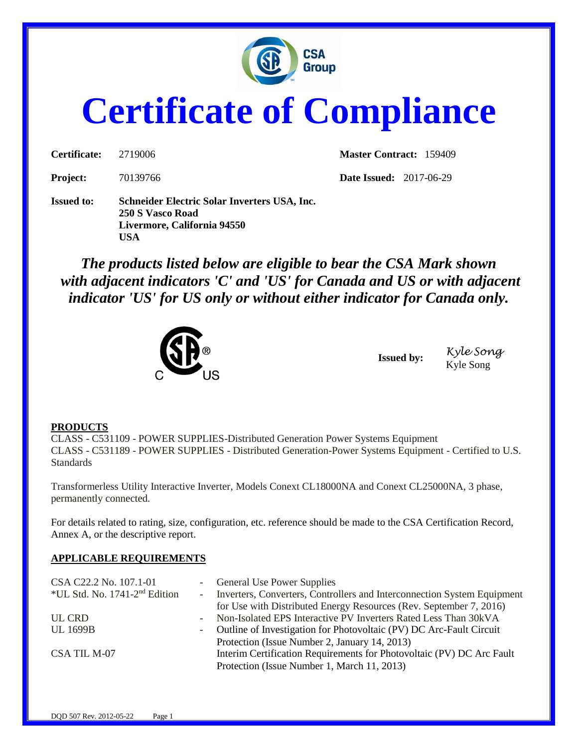

## **Certificate of Compliance**

| Certificate: | 2719006  |  |
|--------------|----------|--|
| Project.     | 70139766 |  |

**Master Contract:** 159409

**Project:** 70139766 **Date Issued:** 2017-06-29

**Issued to: Schneider Electric Solar Inverters USA, Inc. 250 S Vasco Road Livermore, California 94550 USA**

*The products listed below are eligible to bear the CSA Mark shown with adjacent indicators 'C' and 'US' for Canada and US or with adjacent indicator 'US' for US only or without either indicator for Canada only.*



**Issued by:** *Kyle Song* Kyle Song

## **PRODUCTS**

CLASS - C531109 - POWER SUPPLIES-Distributed Generation Power Systems Equipment CLASS - C531189 - POWER SUPPLIES - Distributed Generation-Power Systems Equipment - Certified to U.S. **Standards** 

Transformerless Utility Interactive Inverter, Models Conext CL18000NA and Conext CL25000NA, 3 phase, permanently connected.

For details related to rating, size, configuration, etc. reference should be made to the CSA Certification Record, Annex A, or the descriptive report.

## **APPLICABLE REQUIREMENTS**

| CSA C22.2 No. 107.1-01             |            | - General Use Power Supplies                                              |
|------------------------------------|------------|---------------------------------------------------------------------------|
| *UL Std. No. $1741-2^{nd}$ Edition |            | - Inverters, Converters, Controllers and Interconnection System Equipment |
|                                    |            | for Use with Distributed Energy Resources (Rev. September 7, 2016)        |
| UL CRD                             | $\sim 100$ | Non-Isolated EPS Interactive PV Inverters Rated Less Than 30kVA           |
| <b>UL 1699B</b>                    |            | - Outline of Investigation for Photovoltaic (PV) DC Arc-Fault Circuit     |
|                                    |            | Protection (Issue Number 2, January 14, 2013)                             |
| CSA TIL M-07                       |            | Interim Certification Requirements for Photovoltaic (PV) DC Arc Fault     |
|                                    |            | Protection (Issue Number 1, March 11, 2013)                               |